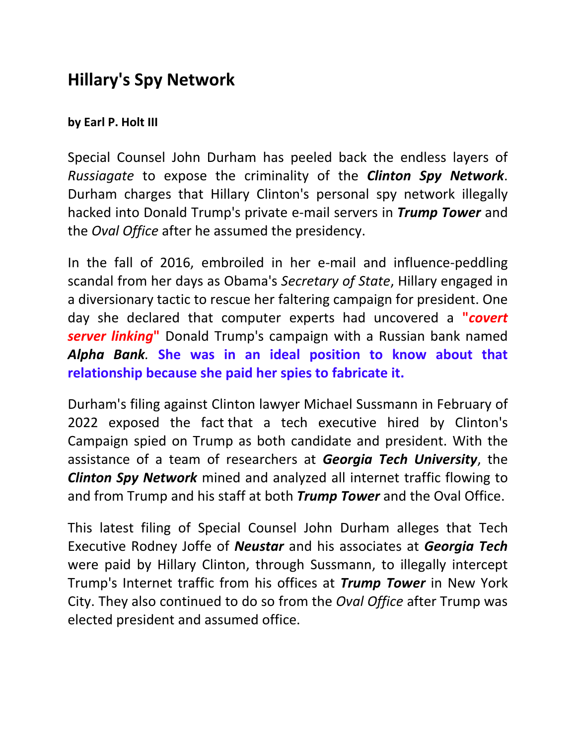## **Hillary's Spy Network**

## **by Earl P. Holt III**

Special Counsel John Durham has peeled back the endless layers of *Russiagate* to expose the criminality of the *Clinton Spy Network*. Durham charges that Hillary Clinton's personal spy network illegally hacked into Donald Trump's private e-mail servers in *Trump Tower* and the *Oval Office* after he assumed the presidency.

In the fall of 2016, embroiled in her e-mail and influence-peddling scandal from her days as Obama's *Secretary of State*, Hillary engaged in a diversionary tactic to rescue her faltering campaign for president. One day she declared that computer experts had uncovered a **"***covert server linking***"** Donald Trump's campaign with a Russian bank named *Alpha Bank.* **She was in an ideal position to know about that relationship because she paid her spies to fabricate it.** 

Durham's filing against Clinton lawyer Michael Sussmann in February of 2022 exposed the fact that a tech executive hired by Clinton's Campaign spied on Trump as both candidate and president. With the assistance of a team of researchers at *Georgia Tech University*, the *Clinton Spy Network* mined and analyzed all internet traffic flowing to and from Trump and his staff at both *Trump Tower* and the Oval Office.

This latest filing of Special Counsel John Durham alleges that Tech Executive Rodney Joffe of *Neustar* and his associates at *Georgia Tech* were paid by Hillary Clinton, through Sussmann, to illegally intercept Trump's Internet traffic from his offices at *Trump Tower* in New York City. They also continued to do so from the *Oval Office* after Trump was elected president and assumed office.